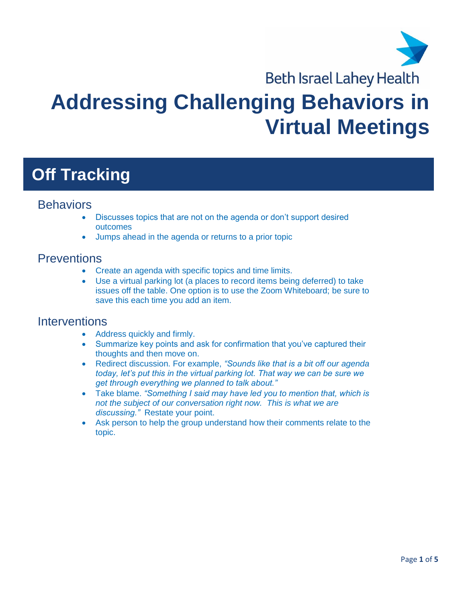

**Beth Israel Lahey Health** 

# **Addressing Challenging Behaviors in Virtual Meetings**

# **Off Tracking**

#### **Behaviors**

- Discusses topics that are not on the agenda or don't support desired outcomes
- Jumps ahead in the agenda or returns to a prior topic

#### **Preventions**

- Create an agenda with specific topics and time limits.
- Use a virtual parking lot (a places to record items being deferred) to take issues off the table. One option is to use the Zoom Whiteboard; be sure to save this each time you add an item.

#### **Interventions**

- Address quickly and firmly.
- Summarize key points and ask for confirmation that you've captured their thoughts and then move on.
- Redirect discussion. For example, *"Sounds like that is a bit off our agenda today, let's put this in the virtual parking lot. That way we can be sure we get through everything we planned to talk about."*
- Take blame. *"Something I said may have led you to mention that, which is not the subject of our conversation right now. This is what we are discussing."* Restate your point.
- Ask person to help the group understand how their comments relate to the topic.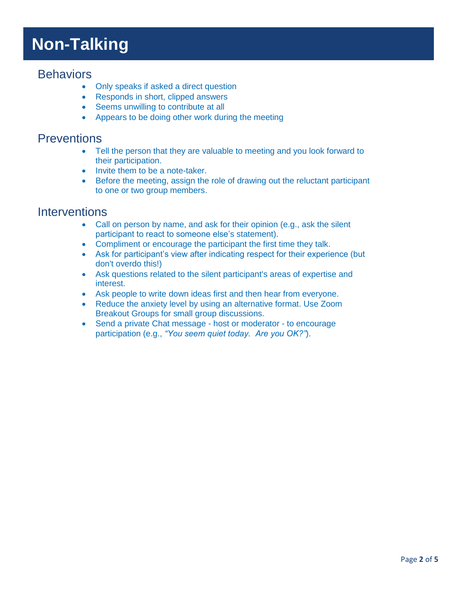# **Non-Talking**

#### **Behaviors**

- Only speaks if asked a direct question
- Responds in short, clipped answers
- Seems unwilling to contribute at all
- Appears to be doing other work during the meeting

### **Preventions**

- Tell the person that they are valuable to meeting and you look forward to their participation.
- Invite them to be a note-taker.
- Before the meeting, assign the role of drawing out the reluctant participant to one or two group members.

#### **Interventions**

- Call on person by name, and ask for their opinion (e.g., ask the silent participant to react to someone else's statement).
- Compliment or encourage the participant the first time they talk.
- Ask for participant's view after indicating respect for their experience (but don't overdo this!)
- Ask questions related to the silent participant's areas of expertise and interest.
- Ask people to write down ideas first and then hear from everyone.
- Reduce the anxiety level by using an alternative format. Use Zoom Breakout Groups for small group discussions.
- Send a private Chat message host or moderator to encourage participation (e.g., *"You seem quiet today. Are you OK?"*).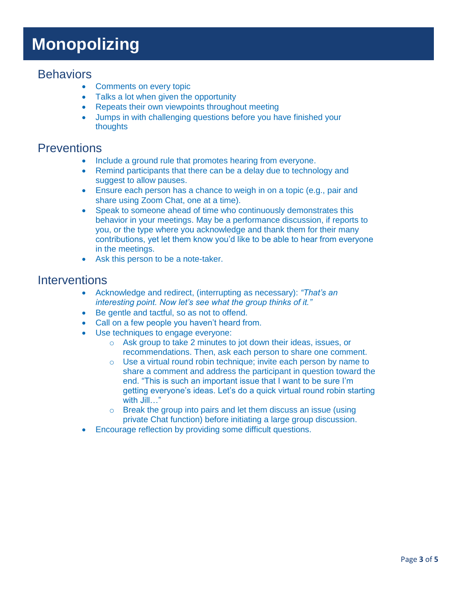# **Monopolizing**

#### **Behaviors**

- Comments on every topic
- Talks a lot when given the opportunity
- Repeats their own viewpoints throughout meeting
- Jumps in with challenging questions before you have finished your thoughts

### **Preventions**

- Include a ground rule that promotes hearing from everyone.
- Remind participants that there can be a delay due to technology and suggest to allow pauses.
- Ensure each person has a chance to weigh in on a topic (e.g., pair and share using Zoom Chat, one at a time).
- Speak to someone ahead of time who continuously demonstrates this behavior in your meetings. May be a performance discussion, if reports to you, or the type where you acknowledge and thank them for their many contributions, yet let them know you'd like to be able to hear from everyone in the meetings.
- Ask this person to be a note-taker.

#### **Interventions**

- Acknowledge and redirect, (interrupting as necessary): *"That's an interesting point. Now let's see what the group thinks of it."*
- Be gentle and tactful, so as not to offend.
- Call on a few people you haven't heard from.
- Use techniques to engage everyone:
	- o Ask group to take 2 minutes to jot down their ideas, issues, or recommendations. Then, ask each person to share one comment.
	- o Use a virtual round robin technique; invite each person by name to share a comment and address the participant in question toward the end. "This is such an important issue that I want to be sure I'm getting everyone's ideas. Let's do a quick virtual round robin starting with Jill…"
	- o Break the group into pairs and let them discuss an issue (using private Chat function) before initiating a large group discussion.
- Encourage reflection by providing some difficult questions.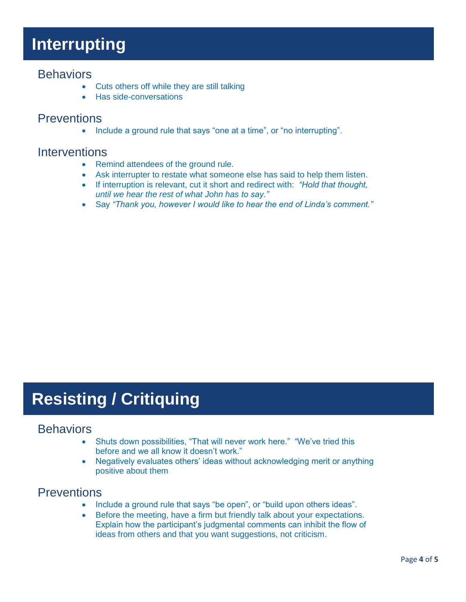### **Interrupting**

#### **Behaviors**

- Cuts others off while they are still talking
- Has side-conversations

### **Preventions**

• Include a ground rule that says "one at a time", or "no interrupting".

#### **Interventions**

- Remind attendees of the ground rule.
- Ask interrupter to restate what someone else has said to help them listen.
- If interruption is relevant, cut it short and redirect with: *"Hold that thought, until we hear the rest of what John has to say."*
- Say *"Thank you, however I would like to hear the end of Linda's comment."*

# **Resisting / Critiquing**

#### **Behaviors**

- Shuts down possibilities, "That will never work here." "We've tried this before and we all know it doesn't work."
- Negatively evaluates others' ideas without acknowledging merit or anything positive about them

### **Preventions**

- Include a ground rule that says "be open", or "build upon others ideas".
- Before the meeting, have a firm but friendly talk about your expectations. Explain how the participant's judgmental comments can inhibit the flow of ideas from others and that you want suggestions, not criticism.